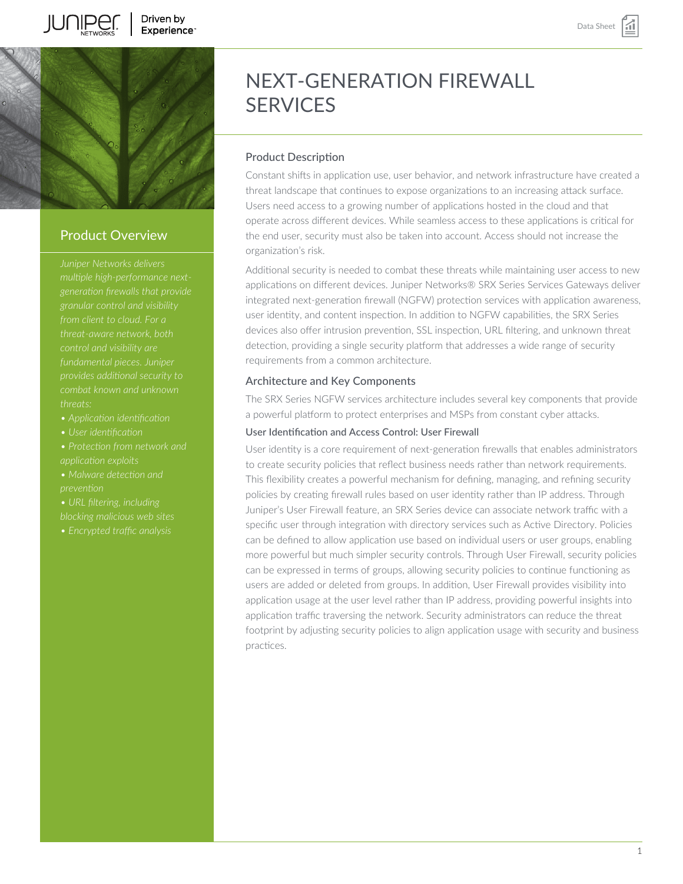



## Product Overview

*Juniper Networks delivers multiple high-performance nextgeneration firewalls that provide threat-aware network, both fundamental pieces. Juniper provides additional security to*

- 
- *User identification*
- *Protection from network and application exploits*
- *Malware detection and*
- *URL filtering, including*
- 
- 

# NEXT-GENERATION FIREWALL **SERVICES**

## Product Description

Constant shifts in application use, user behavior, and network infrastructure have created a threat landscape that continues to expose organizations to an increasing attack surface. Users need access to a growing number of applications hosted in the cloud and that operate across different devices. While seamless access to these applications is critical for the end user, security must also be taken into account. Access should not increase the organization's risk.

Additional security is needed to combat these threats while maintaining user access to new applications on different devices. Juniper Networks® SRX Series Services Gateways deliver integrated next-generation firewall (NGFW) protection services with application awareness, user identity, and content inspection. In addition to NGFW capabilities, the SRX Series devices also offer intrusion prevention, SSL inspection, URL filtering, and unknown threat detection, providing a single security platform that addresses a wide range of security requirements from a common architecture.

## Architecture and Key Components

The SRX Series NGFW services architecture includes several key components that provide a powerful platform to protect enterprises and MSPs from constant cyber attacks.

## User Identification and Access Control: User Firewall

User identity is a core requirement of next-generation firewalls that enables administrators to create security policies that reflect business needs rather than network requirements. This flexibility creates a powerful mechanism for defining, managing, and refining security policies by creating firewall rules based on user identity rather than IP address. Through Juniper's User Firewall feature, an SRX Series device can associate network traffic with a specific user through integration with directory services such as Active Directory. Policies can be defined to allow application use based on individual users or user groups, enabling more powerful but much simpler security controls. Through User Firewall, security policies can be expressed in terms of groups, allowing security policies to continue functioning as users are added or deleted from groups. In addition, User Firewall provides visibility into application usage at the user level rather than IP address, providing powerful insights into application traffic traversing the network. Security administrators can reduce the threat footprint by adjusting security policies to align application usage with security and business practices.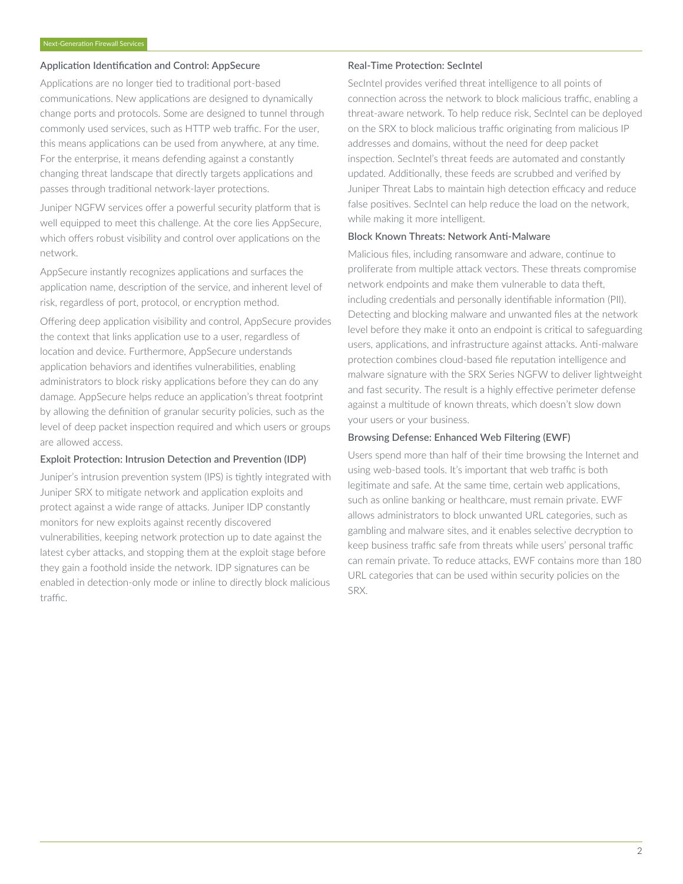### Application Identification and Control: AppSecure

Applications are no longer tied to traditional port-based communications. New applications are designed to dynamically change ports and protocols. Some are designed to tunnel through commonly used services, such as HTTP web traffic. For the user, this means applications can be used from anywhere, at any time. For the enterprise, it means defending against a constantly changing threat landscape that directly targets applications and passes through traditional network-layer protections.

Juniper NGFW services offer a powerful security platform that is well equipped to meet this challenge. At the core lies AppSecure, which offers robust visibility and control over applications on the network.

AppSecure instantly recognizes applications and surfaces the application name, description of the service, and inherent level of risk, regardless of port, protocol, or encryption method.

Offering deep application visibility and control, AppSecure provides the context that links application use to a user, regardless of location and device. Furthermore, AppSecure understands application behaviors and identifies vulnerabilities, enabling administrators to block risky applications before they can do any damage. AppSecure helps reduce an application's threat footprint by allowing the definition of granular security policies, such as the level of deep packet inspection required and which users or groups are allowed access.

#### Exploit Protection: Intrusion Detection and Prevention (IDP)

Juniper's intrusion prevention system (IPS) is tightly integrated with Juniper SRX to mitigate network and application exploits and protect against a wide range of attacks. Juniper IDP constantly monitors for new exploits against recently discovered vulnerabilities, keeping network protection up to date against the latest cyber attacks, and stopping them at the exploit stage before they gain a foothold inside the network. IDP signatures can be enabled in detection-only mode or inline to directly block malicious traffic.

#### Real-Time Protection: SecIntel

SecIntel provides verified threat intelligence to all points of connection across the network to block malicious traffic, enabling a threat-aware network. To help reduce risk, SecIntel can be deployed on the SRX to block malicious traffic originating from malicious IP addresses and domains, without the need for deep packet inspection. SecIntel's threat feeds are automated and constantly updated. Additionally, these feeds are scrubbed and verified by Juniper Threat Labs to maintain high detection efficacy and reduce false positives. SecIntel can help reduce the load on the network, while making it more intelligent.

#### Block Known Threats: Network Anti-Malware

Malicious files, including ransomware and adware, continue to proliferate from multiple attack vectors. These threats compromise network endpoints and make them vulnerable to data theft, including credentials and personally identifiable information (PII). Detecting and blocking malware and unwanted files at the network level before they make it onto an endpoint is critical to safeguarding users, applications, and infrastructure against attacks. Anti-malware protection combines cloud-based file reputation intelligence and malware signature with the SRX Series NGFW to deliver lightweight and fast security. The result is a highly effective perimeter defense against a multitude of known threats, which doesn't slow down your users or your business.

### Browsing Defense: Enhanced Web Filtering (EWF)

Users spend more than half of their time browsing the Internet and using web-based tools. It's important that web traffic is both legitimate and safe. At the same time, certain web applications, such as online banking or healthcare, must remain private. EWF allows administrators to block unwanted URL categories, such as gambling and malware sites, and it enables selective decryption to keep business traffic safe from threats while users' personal traffic can remain private. To reduce attacks, EWF contains more than 180 URL categories that can be used within security policies on the SRX.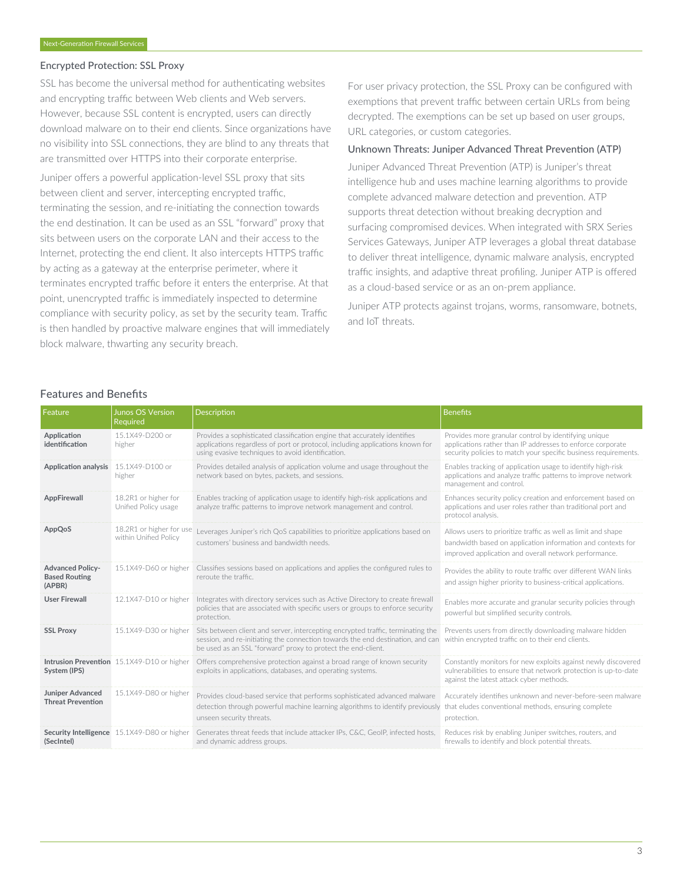## Encrypted Protection: SSL Proxy

SSL has become the universal method for authenticating websites and encrypting traffic between Web clients and Web servers. However, because SSL content is encrypted, users can directly download malware on to their end clients. Since organizations have no visibility into SSL connections, they are blind to any threats that are transmitted over HTTPS into their corporate enterprise.

Juniper offers a powerful application-level SSL proxy that sits between client and server, intercepting encrypted traffic, terminating the session, and re-initiating the connection towards the end destination. It can be used as an SSL "forward" proxy that sits between users on the corporate LAN and their access to the Internet, protecting the end client. It also intercepts HTTPS traffic by acting as a gateway at the enterprise perimeter, where it terminates encrypted traffic before it enters the enterprise. At that point, unencrypted traffic is immediately inspected to determine compliance with security policy, as set by the security team. Traffic is then handled by proactive malware engines that will immediately block malware, thwarting any security breach.

For user privacy protection, the SSL Proxy can be configured with exemptions that prevent traffic between certain URLs from being decrypted. The exemptions can be set up based on user groups, URL categories, or custom categories.

## Unknown Threats: Juniper Advanced Threat Prevention (ATP)

Juniper Advanced Threat Prevention (ATP) is Juniper's threat intelligence hub and uses machine learning algorithms to provide complete advanced malware detection and prevention. ATP supports threat detection without breaking decryption and surfacing compromised devices. When integrated with SRX Series Services Gateways, Juniper ATP leverages a global threat database to deliver threat intelligence, dynamic malware analysis, encrypted traffic insights, and adaptive threat profiling. Juniper ATP is offered as a cloud-based service or as an on-prem appliance.

Juniper ATP protects against trojans, worms, ransomware, botnets, and IoT threats.

## Features and Benefits

| Feature                                                   | <b>Junos OS Version</b><br>Required               | Description                                                                                                                                                                                                                                | <b>Benefits</b>                                                                                                                                                                       |
|-----------------------------------------------------------|---------------------------------------------------|--------------------------------------------------------------------------------------------------------------------------------------------------------------------------------------------------------------------------------------------|---------------------------------------------------------------------------------------------------------------------------------------------------------------------------------------|
| Application<br>identification                             | 15.1X49-D200 or<br>higher                         | Provides a sophisticated classification engine that accurately identifies<br>applications regardless of port or protocol, including applications known for<br>using evasive techniques to avoid identification.                            | Provides more granular control by identifying unique<br>applications rather than IP addresses to enforce corporate<br>security policies to match your specific business requirements. |
| Application analysis 15.1X49-D100 or                      | higher                                            | Provides detailed analysis of application volume and usage throughout the<br>network based on bytes, packets, and sessions.                                                                                                                | Enables tracking of application usage to identify high-risk<br>applications and analyze traffic patterns to improve network<br>management and control.                                |
| <b>AppFirewall</b>                                        | 18.2R1 or higher for<br>Unified Policy usage      | Enables tracking of application usage to identify high-risk applications and<br>analyze traffic patterns to improve network management and control.                                                                                        | Enhances security policy creation and enforcement based on<br>applications and user roles rather than traditional port and<br>protocol analysis.                                      |
| AppQoS                                                    | 18.2R1 or higher for use<br>within Unified Policy | Leverages Juniper's rich QoS capabilities to prioritize applications based on<br>customers' business and bandwidth needs.                                                                                                                  | Allows users to prioritize traffic as well as limit and shape<br>bandwidth based on application information and contexts for<br>improved application and overall network performance. |
| <b>Advanced Policy-</b><br><b>Based Routing</b><br>(APBR) | 15.1X49-D60 or higher                             | Classifies sessions based on applications and applies the configured rules to<br>reroute the traffic.                                                                                                                                      | Provides the ability to route traffic over different WAN links<br>and assign higher priority to business-critical applications.                                                       |
| <b>User Firewall</b>                                      | 12.1X47-D10 or higher                             | Integrates with directory services such as Active Directory to create firewall<br>policies that are associated with specific users or groups to enforce security<br>protection.                                                            | Enables more accurate and granular security policies through<br>powerful but simplified security controls.                                                                            |
| <b>SSL Proxy</b>                                          | 15.1X49-D30 or higher                             | Sits between client and server, intercepting encrypted traffic, terminating the<br>session, and re-initiating the connection towards the end destination, and can<br>be used as an SSL "forward" proxy to protect the end-client.          | Prevents users from directly downloading malware hidden<br>within encrypted traffic on to their end clients.                                                                          |
| System (IPS)                                              | Intrusion Prevention 15.1X49-D10 or higher        | Offers comprehensive protection against a broad range of known security<br>exploits in applications, databases, and operating systems.                                                                                                     | Constantly monitors for new exploits against newly discovered<br>vulnerabilities to ensure that network protection is up-to-date<br>against the latest attack cyber methods.          |
| Juniper Advanced<br><b>Threat Prevention</b>              | 15.1X49-D80 or higher                             | Provides cloud-based service that performs sophisticated advanced malware<br>detection through powerful machine learning algorithms to identify previously that eludes conventional methods, ensuring complete<br>unseen security threats. | Accurately identifies unknown and never-before-seen malware<br>protection.                                                                                                            |
| (SecIntel)                                                | Security Intelligence 15.1X49-D80 or higher       | Generates threat feeds that include attacker IPs, C&C, GeoIP, infected hosts.<br>and dynamic address groups.                                                                                                                               | Reduces risk by enabling Juniper switches, routers, and<br>firewalls to identify and block potential threats.                                                                         |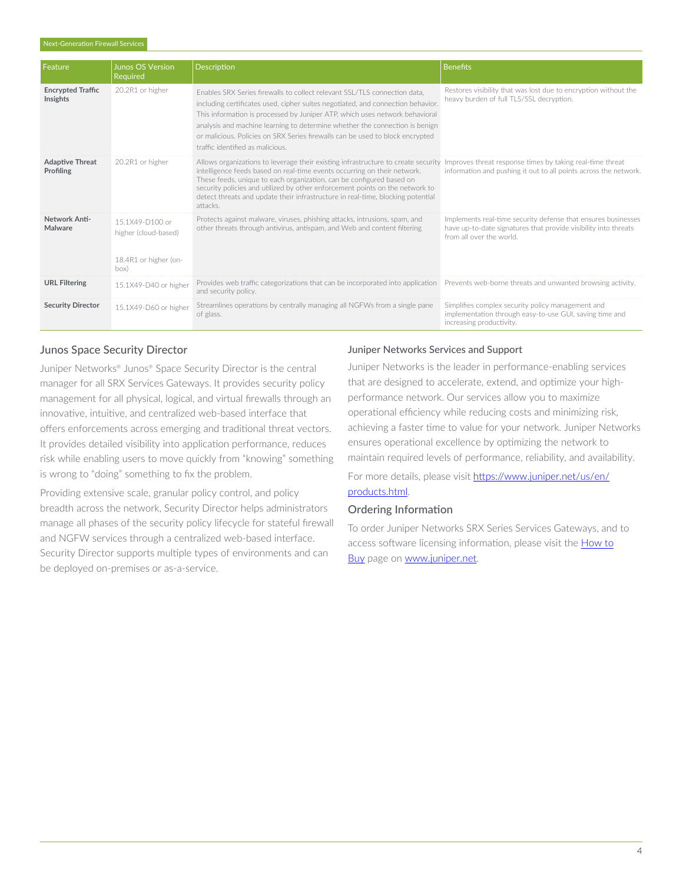| <b>Feature</b>                       | <b>Junos OS Version</b><br>Required                                      | <b>Description</b>                                                                                                                                                                                                                                                                                                                                                                                                                              | <b>Benefits</b>                                                                                                                                              |
|--------------------------------------|--------------------------------------------------------------------------|-------------------------------------------------------------------------------------------------------------------------------------------------------------------------------------------------------------------------------------------------------------------------------------------------------------------------------------------------------------------------------------------------------------------------------------------------|--------------------------------------------------------------------------------------------------------------------------------------------------------------|
| <b>Encrypted Traffic</b><br>Insights | 20.2R1 or higher                                                         | Enables SRX Series firewalls to collect relevant SSL/TLS connection data.<br>including certificates used, cipher suites negotiated, and connection behavior.<br>This information is processed by Juniper ATP, which uses network behavioral<br>analysis and machine learning to determine whether the connection is benign<br>or malicious. Policies on SRX Series firewalls can be used to block encrypted<br>traffic identified as malicious. | Restores visibility that was lost due to encryption without the<br>heavy burden of full TLS/SSL decryption.                                                  |
| <b>Adaptive Threat</b><br>Profiling  | 20.2R1 or higher                                                         | Allows organizations to leverage their existing infrastructure to create security<br>intelligence feeds based on real-time events occurring on their network.<br>These feeds, unique to each organization, can be configured based on<br>security policies and utilized by other enforcement points on the network to<br>detect threats and update their infrastructure in real-time, blocking potential<br>attacks.                            | Improves threat response times by taking real-time threat<br>information and pushing it out to all points across the network.                                |
| Network Anti-<br>Malware             | 15.1X49-D100 or<br>higher (cloud-based)<br>18.4R1 or higher (on-<br>box) | Protects against malware, viruses, phishing attacks, intrusions, spam, and<br>other threats through antivirus, antispam, and Web and content filtering                                                                                                                                                                                                                                                                                          | Implements real-time security defense that ensures businesses<br>have up-to-date signatures that provide visibility into threats<br>from all over the world. |
| <b>URL Filtering</b>                 | 15.1X49-D40 or higher                                                    | Provides web traffic categorizations that can be incorporated into application<br>and security policy.                                                                                                                                                                                                                                                                                                                                          | Prevents web-borne threats and unwanted browsing activity.                                                                                                   |
| <b>Security Director</b>             | 15.1X49-D60 or higher                                                    | Streamlines operations by centrally managing all NGFWs from a single pane<br>of glass.                                                                                                                                                                                                                                                                                                                                                          | Simplifies complex security policy management and<br>implementation through easy-to-use GUI, saving time and<br>increasing productivity.                     |

## Junos Space Security Director

Juniper Networks® Junos® Space Security Director is the central manager for all SRX Services Gateways. It provides security policy management for all physical, logical, and virtual firewalls through an innovative, intuitive, and centralized web-based interface that offers enforcements across emerging and traditional threat vectors. It provides detailed visibility into application performance, reduces risk while enabling users to move quickly from "knowing" something is wrong to "doing" something to fix the problem.

Providing extensive scale, granular policy control, and policy breadth across the network, Security Director helps administrators manage all phases of the security policy lifecycle for stateful firewall and NGFW services through a centralized web-based interface. Security Director supports multiple types of environments and can be deployed on-premises or as-a-service.

#### Juniper Networks Services and Support

Juniper Networks is the leader in performance-enabling services that are designed to accelerate, extend, and optimize your highperformance network. Our services allow you to maximize operational efficiency while reducing costs and minimizing risk, achieving a faster time to value for your network. Juniper Networks ensures operational excellence by optimizing the network to maintain required levels of performance, reliability, and availability.

For more details, please visit [https://www.juniper.net/us/en/](https://www.juniper.net/us/en/products.html) [products.html.](https://www.juniper.net/us/en/products.html)

### Ordering Information

To order Juniper Networks SRX Series Services Gateways, and to access software licensing information, please visit the [How to](https://www.juniper.net/us/en/how-to-buy/form.html) [Buy](https://www.juniper.net/us/en/how-to-buy/form.html) page on www.juniper.net.